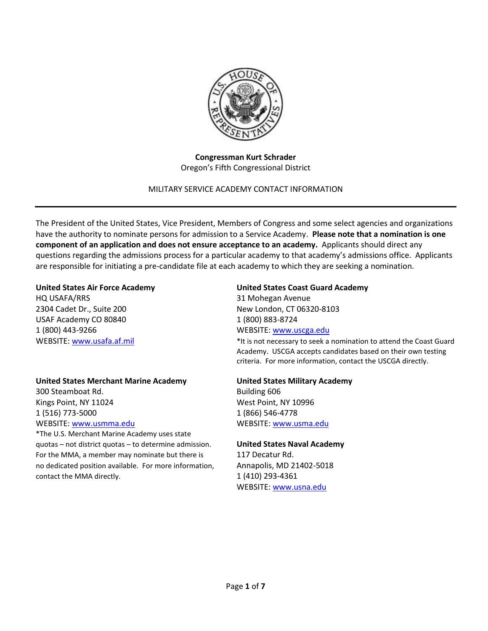

**Congressman Kurt Schrader** Oregon's Fifth Congressional District

### MILITARY SERVICE ACADEMY CONTACT INFORMATION

The President of the United States, Vice President, Members of Congress and some select agencies and organizations have the authority to nominate persons for admission to a Service Academy. **Please note that a nomination is one component of an application and does not ensure acceptance to an academy.** Applicants should direct any questions regarding the admissions process for a particular academy to that academy's admissions office. Applicants are responsible for initiating a pre-candidate file at each academy to which they are seeking a nomination.

HQ USAFA/RRS 31 Mohegan Avenue 2304 Cadet Dr., Suite 200 New London, CT 06320-8103 USAF Academy CO 80840 1 (800) 883-8724 1 (800) 443-9266 WEBSITE: [www.uscga.edu](http://www.uscga.edu/)

### **United States Merchant Marine Academy United States Military Academy**

300 Steamboat Rd. **Building 606** Kings Point, NY 11024 West Point, NY 10996 1 (516) 773-5000 1 (866) 546-4778 WEBSITE: [www.usmma.edu](http://www.usmma.edu/) WEBSITE: [www.usma.edu](http://www.usma.edu/)

\*The U.S. Merchant Marine Academy uses state quotas – not district quotas – to determine admission. **United States Naval Academy** For the MMA, a member may nominate but there is 117 Decatur Rd. no dedicated position available. For more information, Annapolis, MD 21402-5018 contact the MMA directly.  $1(410)$  293-4361

#### **United States Air Force Academy United States Coast Guard Academy**

WEBSITE: [www.usafa.af.mil](http://www.usafa.af.mil/) example and the Coast Guard \*It is not necessary to seek a nomination to attend the Coast Guard Academy. USCGA accepts candidates based on their own testing criteria. For more information, contact the USCGA directly.

WEBSITE: [www.usna.edu](http://www.usna.edu/)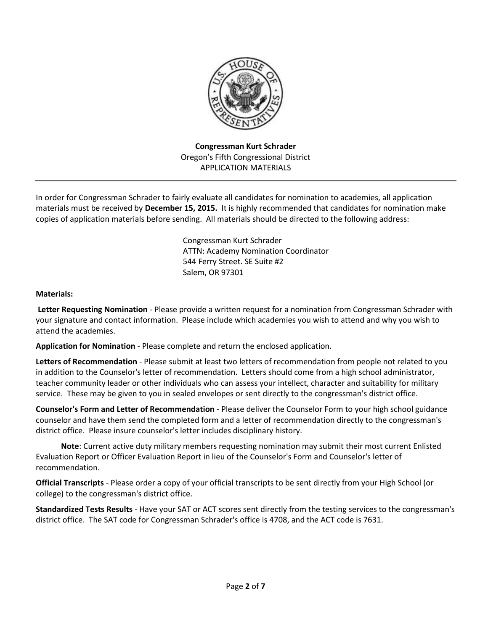

**Congressman Kurt Schrader** Oregon's Fifth Congressional District APPLICATION MATERIALS

In order for Congressman Schrader to fairly evaluate all candidates for nomination to academies, all application materials must be received by **December 15, 2015.** It is highly recommended that candidates for nomination make copies of application materials before sending. All materials should be directed to the following address:

> Congressman Kurt Schrader ATTN: Academy Nomination Coordinator 544 Ferry Street. SE Suite #2 Salem, OR 97301

### **Materials:**

**Letter Requesting Nomination** - Please provide a written request for a nomination from Congressman Schrader with your signature and contact information. Please include which academies you wish to attend and why you wish to attend the academies.

**Application for Nomination** - Please complete and return the enclosed application.

**Letters of Recommendation** - Please submit at least two letters of recommendation from people not related to you in addition to the Counselor's letter of recommendation. Letters should come from a high school administrator, teacher community leader or other individuals who can assess your intellect, character and suitability for military service. These may be given to you in sealed envelopes or sent directly to the congressman's district office.

**Counselor's Form and Letter of Recommendation** - Please deliver the Counselor Form to your high school guidance counselor and have them send the completed form and a letter of recommendation directly to the congressman's district office. Please insure counselor's letter includes disciplinary history.

**Note**: Current active duty military members requesting nomination may submit their most current Enlisted Evaluation Report or Officer Evaluation Report in lieu of the Counselor's Form and Counselor's letter of recommendation.

**Official Transcripts** - Please order a copy of your official transcripts to be sent directly from your High School (or college) to the congressman's district office.

**Standardized Tests Results** - Have your SAT or ACT scores sent directly from the testing services to the congressman's district office. The SAT code for Congressman Schrader's office is 4708, and the ACT code is 7631.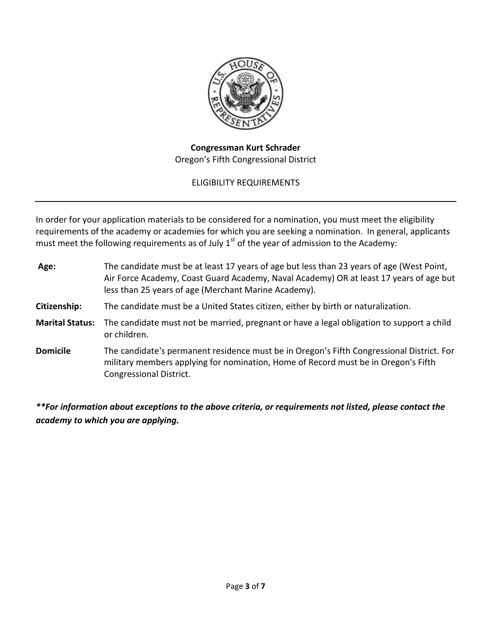

## **Congressman Kurt Schrader** Oregon's Fifth Congressional District

# ELIGIBILITY REQUIREMENTS

In order for your application materials to be considered for a nomination, you must meet the eligibility requirements of the academy or academies for which you are seeking a nomination. In general, applicants must meet the following requirements as of July  $1<sup>st</sup>$  of the year of admission to the Academy:

| Age:                   | The candidate must be at least 17 years of age but less than 23 years of age (West Point,<br>Air Force Academy, Coast Guard Academy, Naval Academy) OR at least 17 years of age but<br>less than 25 years of age (Merchant Marine Academy). |
|------------------------|---------------------------------------------------------------------------------------------------------------------------------------------------------------------------------------------------------------------------------------------|
| Citizenship:           | The candidate must be a United States citizen, either by birth or naturalization.                                                                                                                                                           |
| <b>Marital Status:</b> | The candidate must not be married, pregnant or have a legal obligation to support a child<br>or children.                                                                                                                                   |
| <b>Domicile</b>        | The candidate's permanent residence must be in Oregon's Fifth Congressional District. For<br>military members applying for nomination, Home of Record must be in Oregon's Fifth<br>Congressional District.                                  |

*\*\*For information about exceptions to the above criteria, or requirements not listed, please contact the academy to which you are applying.*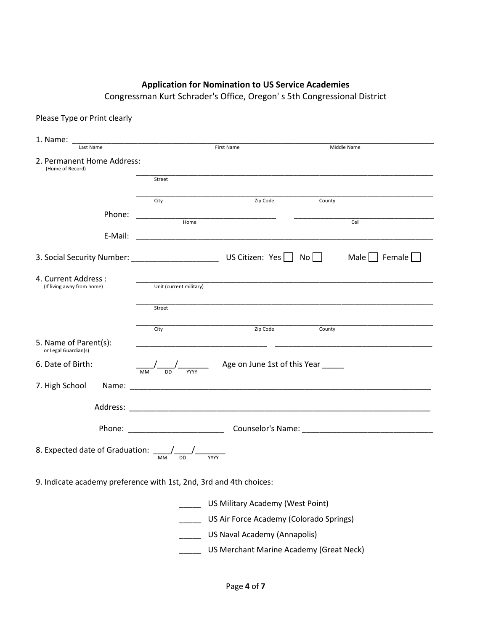# **Application for Nomination to US Service Academies**

Congressman Kurt Schrader's Office, Oregon' s 5th Congressional District

| Please Type or Print clearly |  |  |  |  |  |
|------------------------------|--|--|--|--|--|
|------------------------------|--|--|--|--|--|

| 1. Name:                                                                                   |                                                                    |                                                                                                                                                                                                                                |               |
|--------------------------------------------------------------------------------------------|--------------------------------------------------------------------|--------------------------------------------------------------------------------------------------------------------------------------------------------------------------------------------------------------------------------|---------------|
| Last Name                                                                                  |                                                                    | <b>First Name</b>                                                                                                                                                                                                              | Middle Name   |
| 2. Permanent Home Address:<br>(Home of Record)                                             |                                                                    |                                                                                                                                                                                                                                |               |
|                                                                                            | Street                                                             |                                                                                                                                                                                                                                |               |
|                                                                                            |                                                                    |                                                                                                                                                                                                                                |               |
|                                                                                            | City                                                               | Zip Code                                                                                                                                                                                                                       | County        |
| Phone:                                                                                     | Home                                                               |                                                                                                                                                                                                                                | Cell          |
| E-Mail:                                                                                    |                                                                    |                                                                                                                                                                                                                                |               |
|                                                                                            |                                                                    |                                                                                                                                                                                                                                | Male   Female |
| 4. Current Address :                                                                       |                                                                    |                                                                                                                                                                                                                                |               |
| (If living away from home)                                                                 | Unit (current military)                                            |                                                                                                                                                                                                                                |               |
|                                                                                            | Street                                                             |                                                                                                                                                                                                                                |               |
|                                                                                            | City                                                               | Zip Code                                                                                                                                                                                                                       | County        |
| 5. Name of Parent(s):<br>or Legal Guardian(s)                                              | <u> 1980 - Johann John Stein, mars an deutscher Stein († 1901)</u> |                                                                                                                                                                                                                                |               |
| 6. Date of Birth:                                                                          |                                                                    | $\frac{1}{\text{MM}}$ $\frac{1}{\text{DD}}$ $\frac{1}{\text{WW}}$ Age on June 1st of this Year $\frac{1}{\text{MW}}$                                                                                                           |               |
| 7. High School                                                                             |                                                                    |                                                                                                                                                                                                                                |               |
|                                                                                            |                                                                    | Address: Analysis and the contract of the contract of the contract of the contract of the contract of the contract of the contract of the contract of the contract of the contract of the contract of the contract of the cont |               |
|                                                                                            |                                                                    |                                                                                                                                                                                                                                |               |
| 8. Expected date of Graduation: $\frac{1}{\sqrt{M}} \frac{1}{\sqrt{M}} \frac{1}{\sqrt{M}}$ |                                                                    |                                                                                                                                                                                                                                |               |
| 9. Indicate academy preference with 1st, 2nd, 3rd and 4th choices:                         |                                                                    |                                                                                                                                                                                                                                |               |
|                                                                                            |                                                                    | US Military Academy (West Point)                                                                                                                                                                                               |               |
|                                                                                            |                                                                    | US Air Force Academy (Colorado Springs)                                                                                                                                                                                        |               |
|                                                                                            |                                                                    | US Naval Academy (Annapolis)                                                                                                                                                                                                   |               |
|                                                                                            |                                                                    | US Merchant Marine Academy (Great Neck)                                                                                                                                                                                        |               |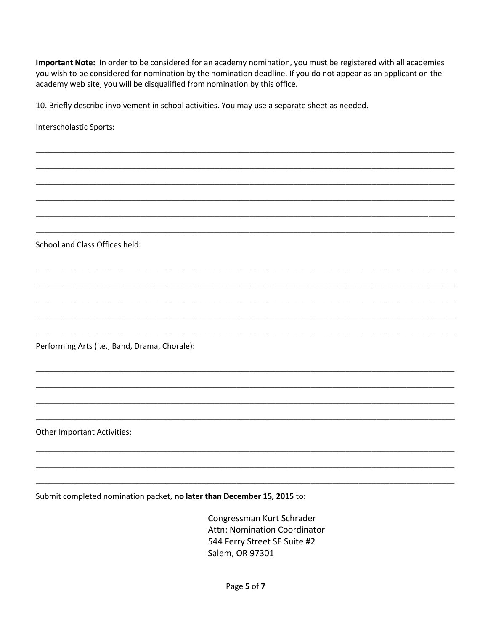Important Note: In order to be considered for an academy nomination, you must be registered with all academies you wish to be considered for nomination by the nomination deadline. If you do not appear as an applicant on the academy web site, you will be disqualified from nomination by this office.

10. Briefly describe involvement in school activities. You may use a separate sheet as needed.

Interscholastic Sports:

School and Class Offices held:

Performing Arts (i.e., Band, Drama, Chorale):

**Other Important Activities:** 

Submit completed nomination packet, no later than December 15, 2015 to:

Congressman Kurt Schrader Attn: Nomination Coordinator 544 Ferry Street SE Suite #2 Salem, OR 97301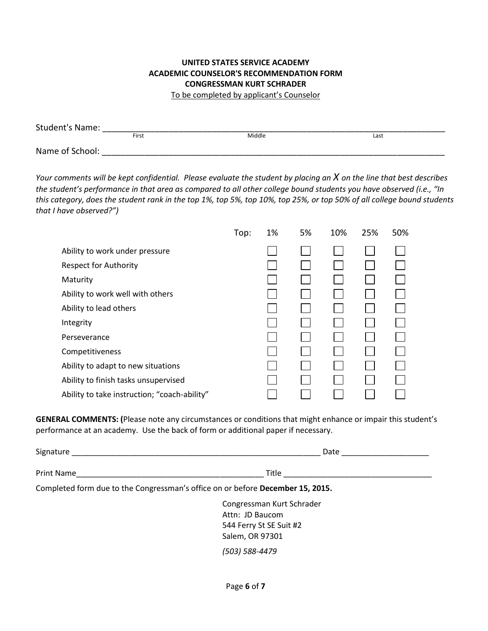### **UNITED STATES SERVICE ACADEMY ACADEMIC COUNSELOR'S RECOMMENDATION FORM CONGRESSMAN KURT SCHRADER** To be completed by applicant's Counselor

| <b>Student's Name:</b> |       |        |      |
|------------------------|-------|--------|------|
|                        | First | Middle | Last |
|                        |       |        |      |
| Name of School:        |       |        |      |

*Your comments will be kept confidential. Please evaluate the student by placing an X on the line that best describes the student's performance in that area as compared to all other college bound students you have observed (i.e., "In this category, does the student rank in the top 1%, top 5%, top 10%, top 25%, or top 50% of all college bound students that I have observed?")*

|                                              | Top: | 1% | 5% | 10% | 25% | 50% |
|----------------------------------------------|------|----|----|-----|-----|-----|
| Ability to work under pressure               |      |    |    |     |     |     |
| <b>Respect for Authority</b>                 |      |    |    |     |     |     |
| Maturity                                     |      |    |    |     |     |     |
| Ability to work well with others             |      |    |    |     |     |     |
| Ability to lead others                       |      |    |    |     |     |     |
| Integrity                                    |      |    |    |     |     |     |
| Perseverance                                 |      |    |    |     |     |     |
| Competitiveness                              |      |    |    |     |     |     |
| Ability to adapt to new situations           |      |    |    |     |     |     |
| Ability to finish tasks unsupervised         |      |    |    |     |     |     |
| Ability to take instruction; "coach-ability" |      |    |    |     |     |     |

**GENERAL COMMENTS: (**Please note any circumstances or conditions that might enhance or impair this student's performance at an academy. Use the back of form or additional paper if necessary.

| Signature __                                                                   | Date                      |
|--------------------------------------------------------------------------------|---------------------------|
| <b>Print Name</b>                                                              | Title                     |
| Completed form due to the Congressman's office on or before December 15, 2015. |                           |
|                                                                                | Congressman Kurt Schrader |
|                                                                                | Attn: JD Baucom           |
|                                                                                | 544 Ferry St SE Suit #2   |
|                                                                                | Salem, OR 97301           |

*(503) 588-4479*